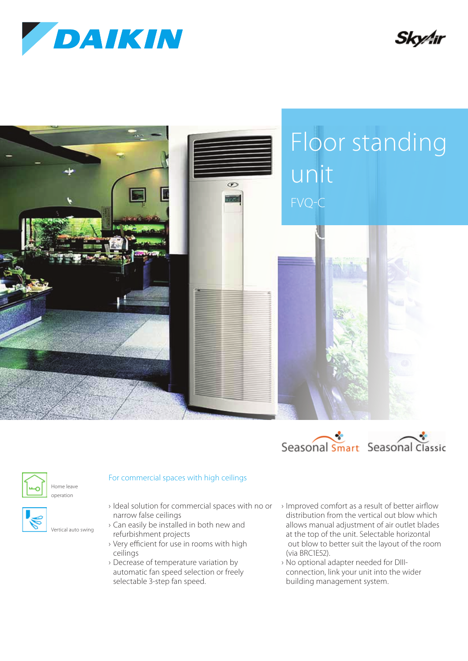

Skv4ir







## For commercial spaces with high ceilings

Vertical auto swing

- $\rightarrow$  Ideal solution for commercial spaces with no or  $\rightarrow$  Improved comfort as a result of better airflow narrow false ceilings
- › Can easily be installed in both new and refurbishment projects
- › Very efficient for use in rooms with high ceilings
- › Decrease of temperature variation by automatic fan speed selection or freely selectable 3-step fan speed.
- distribution from the vertical out blow which allows manual adjustment of air outlet blades at the top of the unit. Selectable horizontal out blow to better suit the layout of the room (via BRC1E52).
- › No optional adapter needed for DIIIconnection, link your unit into the wider building management system.